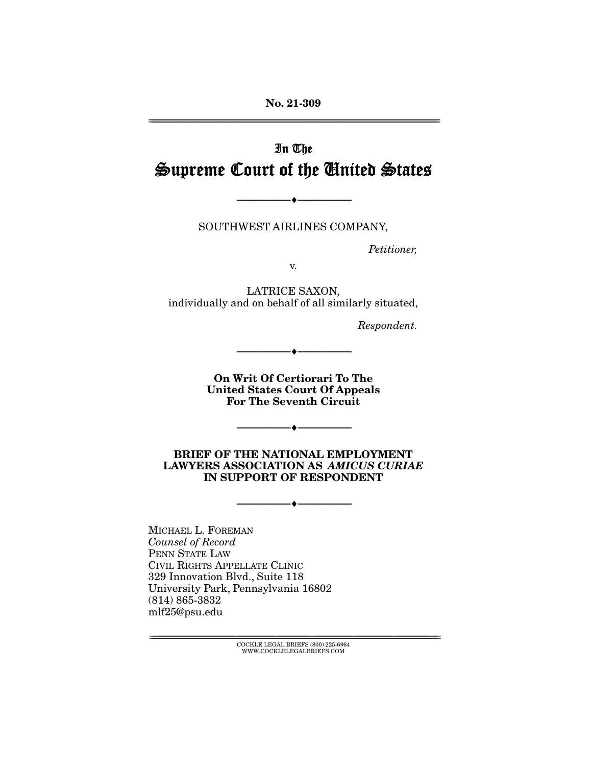**No. 21-309**  ================================================================================================================

# In The Supreme Court of the United States

SOUTHWEST AIRLINES COMPANY,

--------------------------------- ♦ ---------------------------------

Petitioner,

v.

LATRICE SAXON, individually and on behalf of all similarly situated,

Respondent.

**On Writ Of Certiorari To The United States Court Of Appeals For The Seventh Circuit** 

--------------------------------- ♦ ---------------------------------

--------------------------------- ♦ ---------------------------------

**BRIEF OF THE NATIONAL EMPLOYMENT LAWYERS ASSOCIATION AS** *AMICUS CURIAE* **IN SUPPORT OF RESPONDENT** 

 $\overbrace{\hspace{15mm}}$   $\overbrace{\hspace{15mm}}$ 

MICHAEL L. FOREMAN Counsel of Record PENN STATE LAW CIVIL RIGHTS APPELLATE CLINIC 329 Innovation Blvd., Suite 118 University Park, Pennsylvania 16802 (814) 865-3832 mlf25@psu.edu

================================================================================================================ COCKLE LEGAL BRIEFS (800) 225-6964 WWW.COCKLELEGALBRIEFS.COM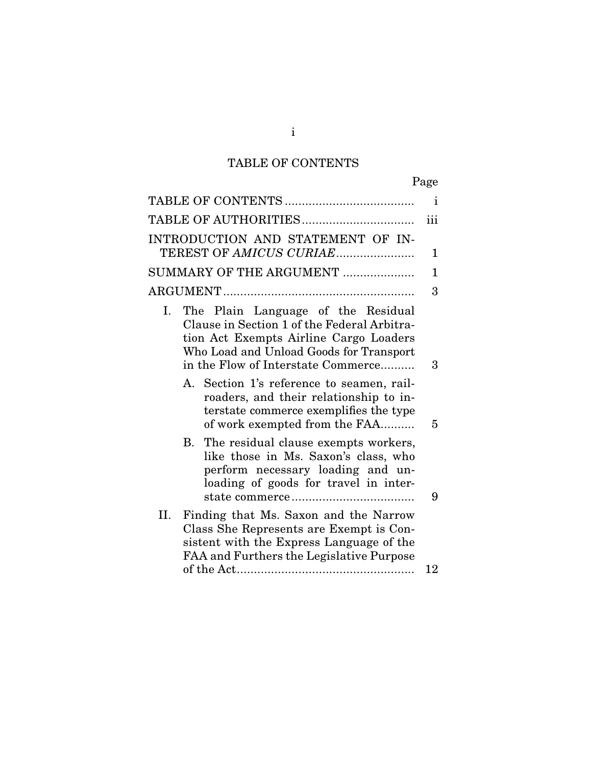# TABLE OF CONTENTS

|                                                                                                                                                                                                                    | Page |
|--------------------------------------------------------------------------------------------------------------------------------------------------------------------------------------------------------------------|------|
|                                                                                                                                                                                                                    | 1    |
|                                                                                                                                                                                                                    | iii  |
| INTRODUCTION AND STATEMENT OF IN-                                                                                                                                                                                  |      |
| TEREST OF AMICUS CURIAE                                                                                                                                                                                            | 1    |
| SUMMARY OF THE ARGUMENT                                                                                                                                                                                            | 1    |
|                                                                                                                                                                                                                    | 3    |
| The Plain Language of the Residual<br>Ι.<br>Clause in Section 1 of the Federal Arbitra-<br>tion Act Exempts Airline Cargo Loaders<br>Who Load and Unload Goods for Transport<br>in the Flow of Interstate Commerce | 3    |
| A. Section 1's reference to seamen, rail-<br>roaders, and their relationship to in-<br>terstate commerce exemplifies the type<br>of work exempted from the FAA                                                     | 5    |
| B. The residual clause exempts workers,<br>like those in Ms. Saxon's class, who<br>perform necessary loading and un-<br>loading of goods for travel in inter-                                                      | 9    |
| II.<br>Finding that Ms. Saxon and the Narrow<br>Class She Represents are Exempt is Con-<br>sistent with the Express Language of the<br>FAA and Furthers the Legislative Purpose                                    | 12   |
|                                                                                                                                                                                                                    |      |

i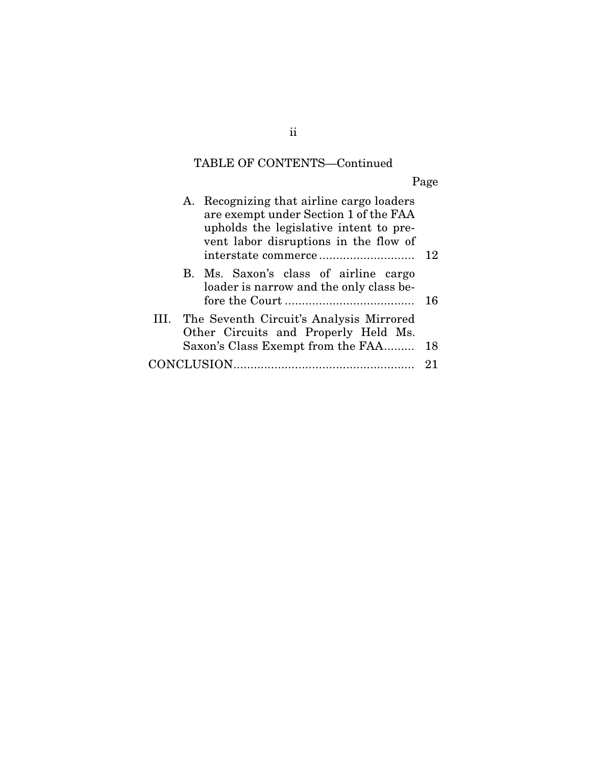# TABLE OF CONTENTS—Continued

Page

|  | A. Recognizing that airline cargo loaders<br>are exempt under Section 1 of the FAA<br>upholds the legislative intent to pre-<br>vent labor disruptions in the flow of | 12 |
|--|-----------------------------------------------------------------------------------------------------------------------------------------------------------------------|----|
|  | B. Ms. Saxon's class of airline cargo<br>loader is narrow and the only class be-                                                                                      | 16 |
|  | III. The Seventh Circuit's Analysis Mirrored<br>Other Circuits and Properly Held Ms.<br>Saxon's Class Exempt from the FAA                                             | 18 |
|  |                                                                                                                                                                       |    |
|  |                                                                                                                                                                       | 21 |
|  |                                                                                                                                                                       |    |

### ii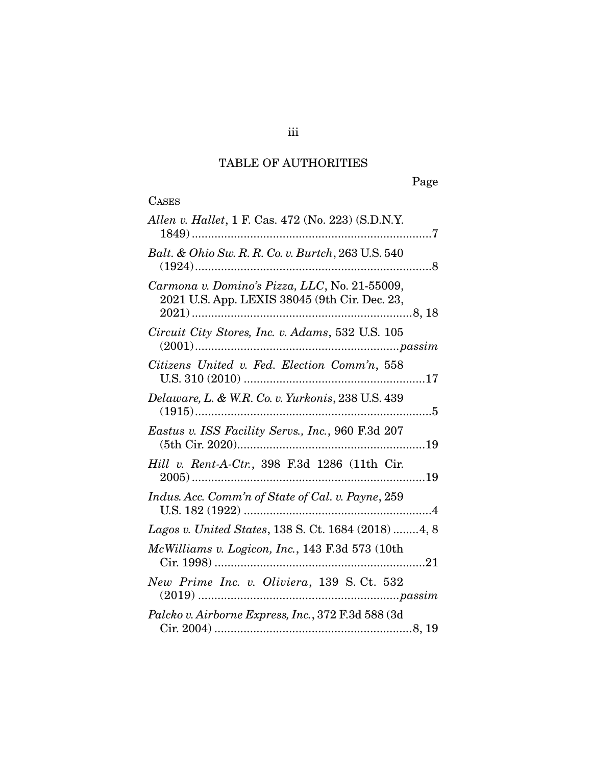## TABLE OF AUTHORITIES

| <b>CASES</b>                                                                                   |
|------------------------------------------------------------------------------------------------|
| Allen v. Hallet, 1 F. Cas. 472 (No. 223) (S.D.N.Y.                                             |
| Balt. & Ohio Sw. R. R. Co. v. Burtch, 263 U.S. 540                                             |
| Carmona v. Domino's Pizza, LLC, No. 21-55009,<br>2021 U.S. App. LEXIS 38045 (9th Cir. Dec. 23, |
| Circuit City Stores, Inc. v. Adams, 532 U.S. 105                                               |
| Citizens United v. Fed. Election Comm'n, 558                                                   |
| Delaware, L. & W.R. Co. v. Yurkonis, 238 U.S. 439                                              |
| Eastus v. ISS Facility Servs., Inc., 960 F.3d 207                                              |
| Hill v. Rent-A-Ctr., 398 F.3d 1286 (11th Cir.                                                  |
| Indus. Acc. Comm'n of State of Cal. v. Payne, 259                                              |
| Lagos v. United States, 138 S. Ct. 1684 (2018) 4, 8                                            |
| McWilliams v. Logicon, Inc., 143 F.3d 573 (10th<br>. 21                                        |
| New Prime Inc. v. Oliviera, 139 S. Ct. 532                                                     |
| Palcko v. Airborne Express, Inc., 372 F.3d 588 (3d                                             |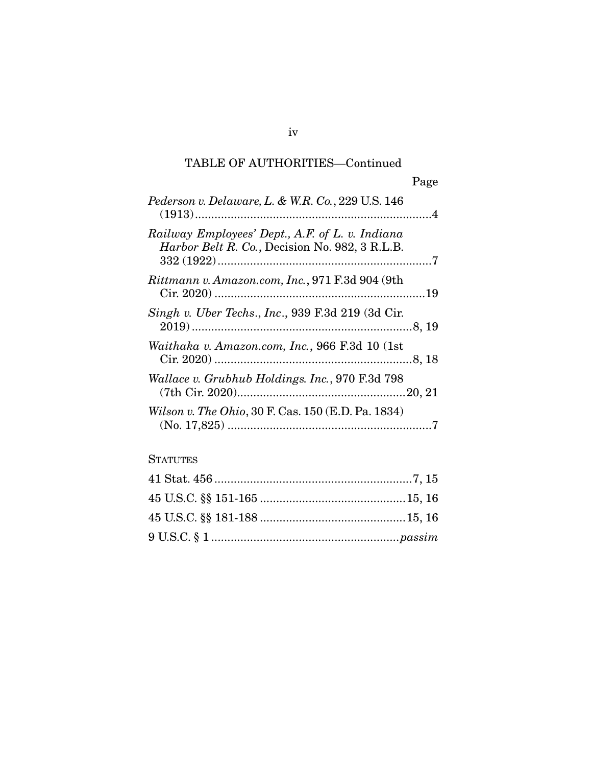## TABLE OF AUTHORITIES—Continued

| Pederson v. Delaware, L. & W.R. Co., 229 U.S. 146                                                 |  |
|---------------------------------------------------------------------------------------------------|--|
| Railway Employees' Dept., A.F. of L. v. Indiana<br>Harbor Belt R. Co., Decision No. 982, 3 R.L.B. |  |
| Rittmann v. Amazon.com, Inc., 971 F.3d 904 (9th                                                   |  |
| Singh v. Uber Techs., Inc., 939 F.3d 219 (3d Cir.                                                 |  |
| Waithaka v. Amazon.com, Inc., 966 F.3d 10 (1st                                                    |  |
| Wallace v. Grubhub Holdings. Inc., 970 F.3d 798                                                   |  |
| Wilson v. The Ohio, 30 F. Cas. 150 (E.D. Pa. 1834)                                                |  |

### **STATUTES**

iv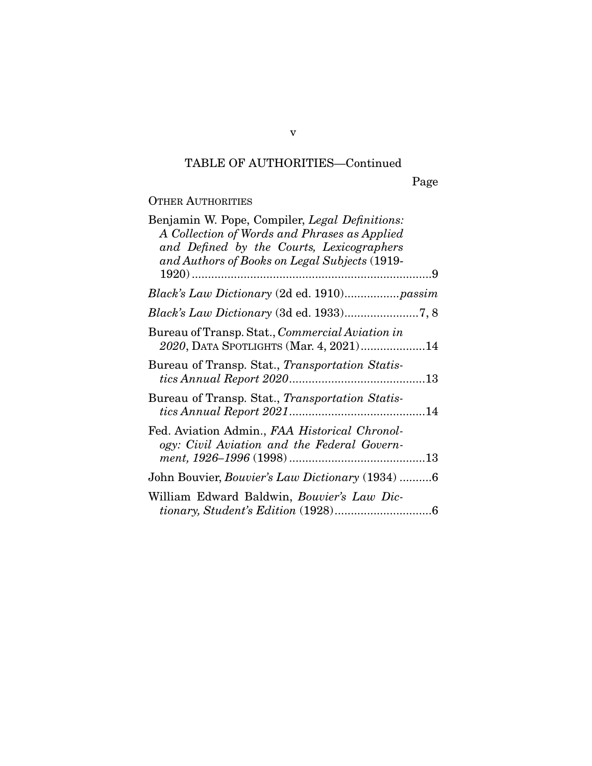## TABLE OF AUTHORITIES—Continued

Page

### OTHER AUTHORITIES

| Benjamin W. Pope, Compiler, Legal Definitions:<br>A Collection of Words and Phrases as Applied<br>and Defined by the Courts, Lexicographers<br>and Authors of Books on Legal Subjects (1919- |  |
|----------------------------------------------------------------------------------------------------------------------------------------------------------------------------------------------|--|
|                                                                                                                                                                                              |  |
| Black's Law Dictionary (2d ed. 1910)passim                                                                                                                                                   |  |
|                                                                                                                                                                                              |  |
| Bureau of Transp. Stat., <i>Commercial Aviation in</i><br>2020, DATA SPOTLIGHTS (Mar. 4, 2021)14                                                                                             |  |
| Bureau of Transp. Stat., Transportation Statis-                                                                                                                                              |  |
| Bureau of Transp. Stat., Transportation Statis-                                                                                                                                              |  |
| Fed. Aviation Admin., FAA Historical Chronol-<br>ogy: Civil Aviation and the Federal Govern-                                                                                                 |  |
| John Bouvier, <i>Bouvier's Law Dictionary</i> (1934) 6                                                                                                                                       |  |
| William Edward Baldwin, Bouvier's Law Dic-                                                                                                                                                   |  |

v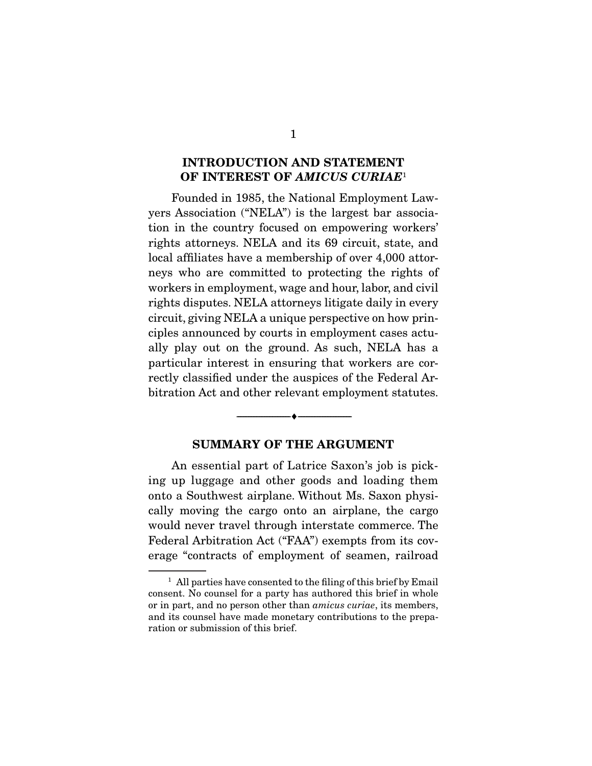#### **INTRODUCTION AND STATEMENT OF INTEREST OF** *AMICUS CURIAE*<sup>1</sup>

 Founded in 1985, the National Employment Lawyers Association ("NELA") is the largest bar association in the country focused on empowering workers' rights attorneys. NELA and its 69 circuit, state, and local affiliates have a membership of over 4,000 attorneys who are committed to protecting the rights of workers in employment, wage and hour, labor, and civil rights disputes. NELA attorneys litigate daily in every circuit, giving NELA a unique perspective on how principles announced by courts in employment cases actually play out on the ground. As such, NELA has a particular interest in ensuring that workers are correctly classified under the auspices of the Federal Arbitration Act and other relevant employment statutes.

#### **SUMMARY OF THE ARGUMENT**

 $\overbrace{\hspace{2.5cm}}$   $\overbrace{\hspace{2.5cm}}$   $\overbrace{\hspace{2.5cm}}$ 

 An essential part of Latrice Saxon's job is picking up luggage and other goods and loading them onto a Southwest airplane. Without Ms. Saxon physically moving the cargo onto an airplane, the cargo would never travel through interstate commerce. The Federal Arbitration Act ("FAA") exempts from its coverage "contracts of employment of seamen, railroad

 $<sup>1</sup>$  All parties have consented to the filing of this brief by Email</sup> consent. No counsel for a party has authored this brief in whole or in part, and no person other than amicus curiae, its members, and its counsel have made monetary contributions to the preparation or submission of this brief.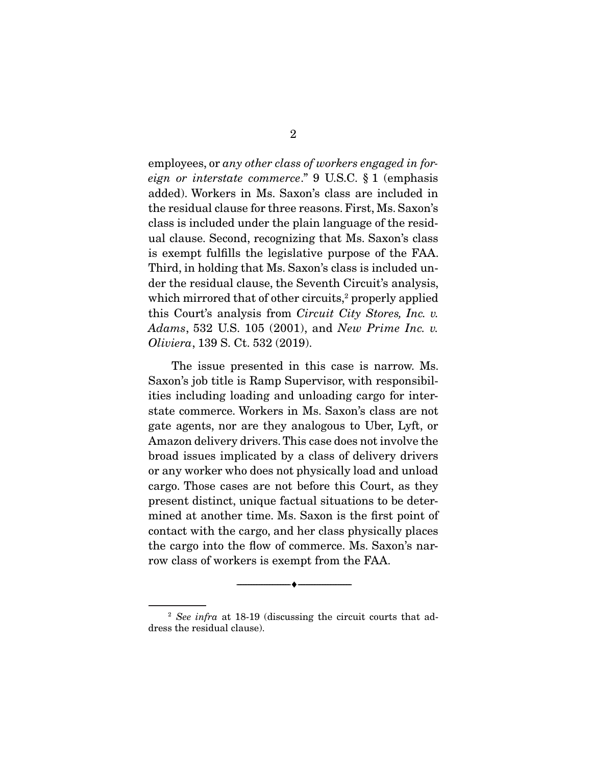employees, or any other class of workers engaged in foreign or interstate commerce." 9 U.S.C. § 1 (emphasis added). Workers in Ms. Saxon's class are included in the residual clause for three reasons. First, Ms. Saxon's class is included under the plain language of the residual clause. Second, recognizing that Ms. Saxon's class is exempt fulfills the legislative purpose of the FAA. Third, in holding that Ms. Saxon's class is included under the residual clause, the Seventh Circuit's analysis, which mirrored that of other circuits.<sup>2</sup> properly applied this Court's analysis from Circuit City Stores, Inc. v. Adams, 532 U.S. 105 (2001), and New Prime Inc. v. Oliviera, 139 S. Ct. 532 (2019).

 The issue presented in this case is narrow. Ms. Saxon's job title is Ramp Supervisor, with responsibilities including loading and unloading cargo for interstate commerce. Workers in Ms. Saxon's class are not gate agents, nor are they analogous to Uber, Lyft, or Amazon delivery drivers. This case does not involve the broad issues implicated by a class of delivery drivers or any worker who does not physically load and unload cargo. Those cases are not before this Court, as they present distinct, unique factual situations to be determined at another time. Ms. Saxon is the first point of contact with the cargo, and her class physically places the cargo into the flow of commerce. Ms. Saxon's narrow class of workers is exempt from the FAA.

--------------------------------- ♦ ---------------------------------

 $2$  See infra at 18-19 (discussing the circuit courts that address the residual clause).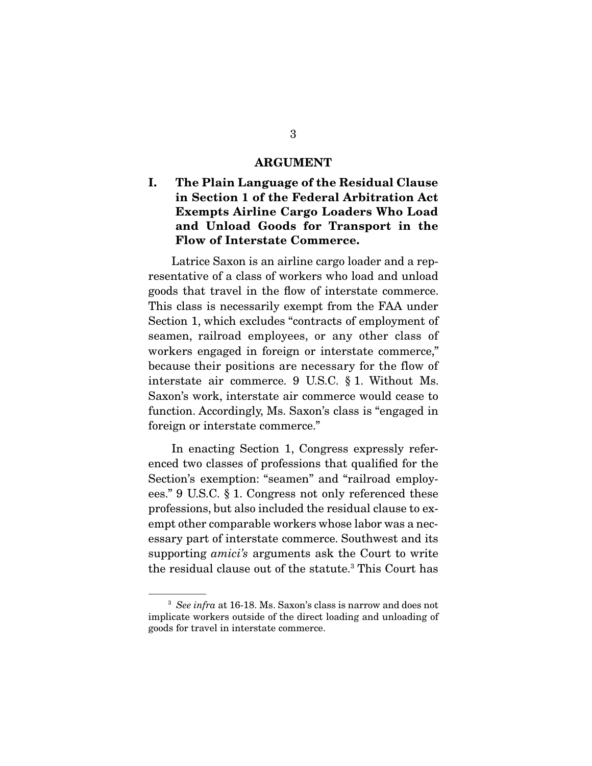#### **ARGUMENT**

### **I. The Plain Language of the Residual Clause in Section 1 of the Federal Arbitration Act Exempts Airline Cargo Loaders Who Load and Unload Goods for Transport in the Flow of Interstate Commerce.**

 Latrice Saxon is an airline cargo loader and a representative of a class of workers who load and unload goods that travel in the flow of interstate commerce. This class is necessarily exempt from the FAA under Section 1, which excludes "contracts of employment of seamen, railroad employees, or any other class of workers engaged in foreign or interstate commerce," because their positions are necessary for the flow of interstate air commerce. 9 U.S.C. § 1. Without Ms. Saxon's work, interstate air commerce would cease to function. Accordingly, Ms. Saxon's class is "engaged in foreign or interstate commerce."

 In enacting Section 1, Congress expressly referenced two classes of professions that qualified for the Section's exemption: "seamen" and "railroad employees." 9 U.S.C. § 1. Congress not only referenced these professions, but also included the residual clause to exempt other comparable workers whose labor was a necessary part of interstate commerce. Southwest and its supporting *amici's* arguments ask the Court to write the residual clause out of the statute.<sup>3</sup> This Court has

<sup>&</sup>lt;sup>3</sup> See infra at 16-18. Ms. Saxon's class is narrow and does not implicate workers outside of the direct loading and unloading of goods for travel in interstate commerce.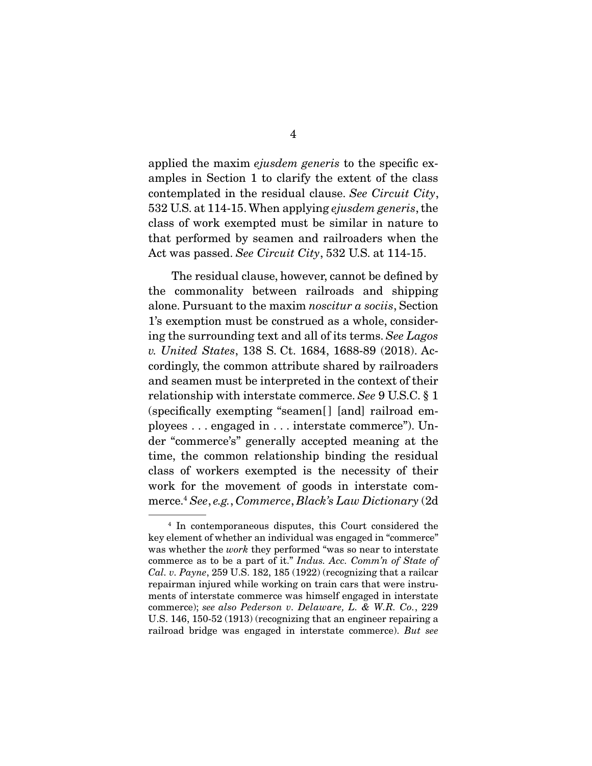applied the maxim ejusdem generis to the specific examples in Section 1 to clarify the extent of the class contemplated in the residual clause. See Circuit City, 532 U.S. at 114-15. When applying ejusdem generis, the class of work exempted must be similar in nature to that performed by seamen and railroaders when the Act was passed. See Circuit City, 532 U.S. at 114-15.

 The residual clause, however, cannot be defined by the commonality between railroads and shipping alone. Pursuant to the maxim noscitur a sociis, Section 1's exemption must be construed as a whole, considering the surrounding text and all of its terms. See Lagos v. United States, 138 S. Ct. 1684, 1688-89 (2018). Accordingly, the common attribute shared by railroaders and seamen must be interpreted in the context of their relationship with interstate commerce. See 9 U.S.C. § 1 (specifically exempting "seamen[] [and] railroad employees . . . engaged in . . . interstate commerce"). Under "commerce's" generally accepted meaning at the time, the common relationship binding the residual class of workers exempted is the necessity of their work for the movement of goods in interstate commerce.4 See, e.g., Commerce, Black's Law Dictionary (2d

<sup>4</sup> In contemporaneous disputes, this Court considered the key element of whether an individual was engaged in "commerce" was whether the *work* they performed "was so near to interstate commerce as to be a part of it." Indus. Acc. Comm'n of State of Cal. v. Payne, 259 U.S. 182, 185 (1922) (recognizing that a railcar repairman injured while working on train cars that were instruments of interstate commerce was himself engaged in interstate commerce); see also Pederson v. Delaware, L. & W.R. Co., 229 U.S. 146, 150-52 (1913) (recognizing that an engineer repairing a railroad bridge was engaged in interstate commerce). But see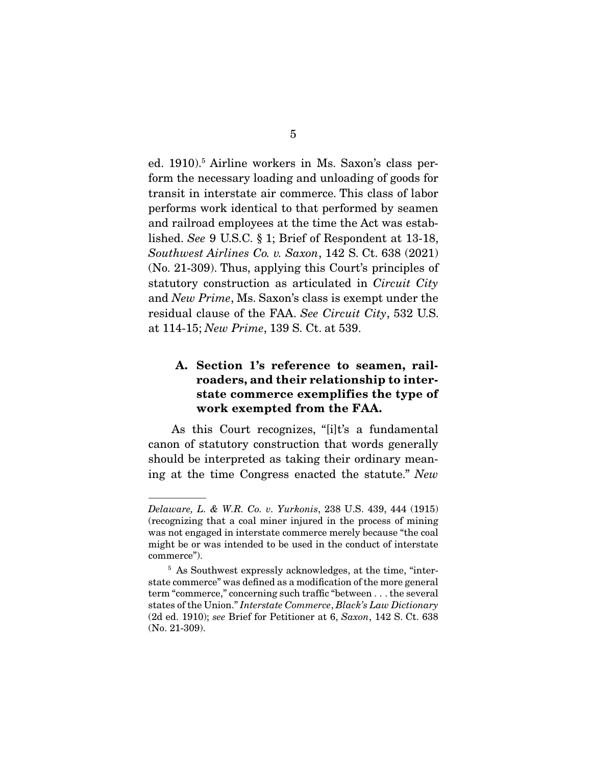ed. 1910).<sup>5</sup> Airline workers in Ms. Saxon's class perform the necessary loading and unloading of goods for transit in interstate air commerce. This class of labor performs work identical to that performed by seamen and railroad employees at the time the Act was established. See 9 U.S.C. § 1; Brief of Respondent at 13-18, Southwest Airlines Co. v. Saxon, 142 S. Ct. 638 (2021) (No. 21-309). Thus, applying this Court's principles of statutory construction as articulated in Circuit City and New Prime, Ms. Saxon's class is exempt under the residual clause of the FAA. See Circuit City, 532 U.S. at 114-15; New Prime, 139 S. Ct. at 539.

### **A. Section 1's reference to seamen, railroaders, and their relationship to interstate commerce exemplifies the type of work exempted from the FAA.**

 As this Court recognizes, "[i]t's a fundamental canon of statutory construction that words generally should be interpreted as taking their ordinary meaning at the time Congress enacted the statute." New

Delaware, L. & W.R. Co. v. Yurkonis, 238 U.S. 439, 444 (1915) (recognizing that a coal miner injured in the process of mining was not engaged in interstate commerce merely because "the coal might be or was intended to be used in the conduct of interstate commerce").

<sup>5</sup> As Southwest expressly acknowledges, at the time, "interstate commerce" was defined as a modification of the more general term "commerce," concerning such traffic "between . . . the several states of the Union." Interstate Commerce, Black's Law Dictionary (2d ed. 1910); see Brief for Petitioner at 6, Saxon, 142 S. Ct. 638 (No. 21-309).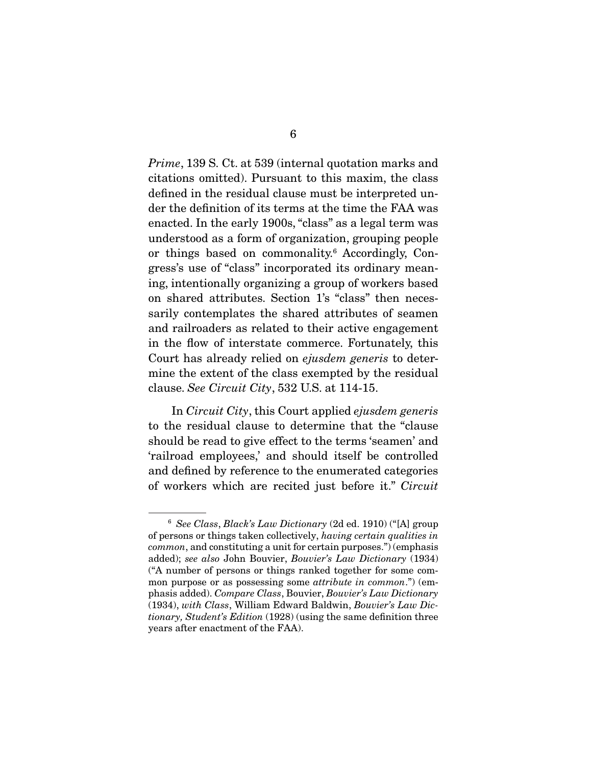Prime, 139 S. Ct. at 539 (internal quotation marks and citations omitted). Pursuant to this maxim, the class defined in the residual clause must be interpreted under the definition of its terms at the time the FAA was enacted. In the early 1900s, "class" as a legal term was understood as a form of organization, grouping people or things based on commonality.<sup>6</sup> Accordingly, Congress's use of "class" incorporated its ordinary meaning, intentionally organizing a group of workers based on shared attributes. Section 1's "class" then necessarily contemplates the shared attributes of seamen and railroaders as related to their active engagement in the flow of interstate commerce. Fortunately, this Court has already relied on ejusdem generis to determine the extent of the class exempted by the residual clause. See Circuit City, 532 U.S. at 114-15.

 In Circuit City, this Court applied ejusdem generis to the residual clause to determine that the "clause should be read to give effect to the terms 'seamen' and 'railroad employees,' and should itself be controlled and defined by reference to the enumerated categories of workers which are recited just before it." Circuit

 $6$  See Class, Black's Law Dictionary (2d ed. 1910) ("[A] group of persons or things taken collectively, having certain qualities in common, and constituting a unit for certain purposes.") (emphasis added); see also John Bouvier, Bouvier's Law Dictionary (1934) ("A number of persons or things ranked together for some common purpose or as possessing some *attribute in common*.") (emphasis added). Compare Class, Bouvier, Bouvier's Law Dictionary (1934), with Class, William Edward Baldwin, Bouvier's Law Dictionary, Student's Edition (1928) (using the same definition three years after enactment of the FAA).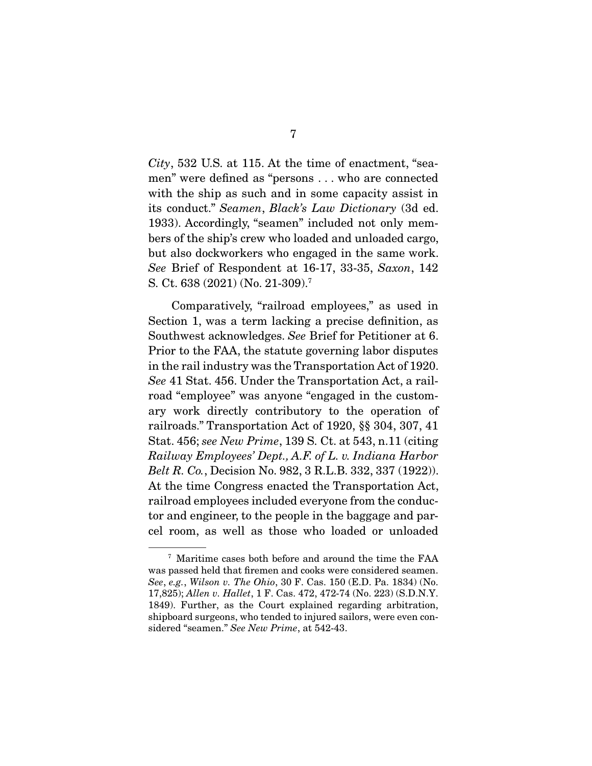City, 532 U.S. at 115. At the time of enactment, "seamen" were defined as "persons . . . who are connected with the ship as such and in some capacity assist in its conduct." Seamen, Black's Law Dictionary (3d ed. 1933). Accordingly, "seamen" included not only members of the ship's crew who loaded and unloaded cargo, but also dockworkers who engaged in the same work. See Brief of Respondent at 16-17, 33-35, Saxon, 142 S. Ct. 638 (2021) (No. 21-309).7

 Comparatively, "railroad employees," as used in Section 1, was a term lacking a precise definition, as Southwest acknowledges. See Brief for Petitioner at 6. Prior to the FAA, the statute governing labor disputes in the rail industry was the Transportation Act of 1920. See 41 Stat. 456. Under the Transportation Act, a railroad "employee" was anyone "engaged in the customary work directly contributory to the operation of railroads." Transportation Act of 1920, §§ 304, 307, 41 Stat. 456; see New Prime, 139 S. Ct. at 543, n.11 (citing Railway Employees' Dept., A.F. of L. v. Indiana Harbor Belt R. Co., Decision No. 982, 3 R.L.B. 332, 337 (1922)). At the time Congress enacted the Transportation Act, railroad employees included everyone from the conductor and engineer, to the people in the baggage and parcel room, as well as those who loaded or unloaded

<sup>7</sup> Maritime cases both before and around the time the FAA was passed held that firemen and cooks were considered seamen. See, e.g., Wilson v. The Ohio, 30 F. Cas. 150 (E.D. Pa. 1834) (No. 17,825); Allen v. Hallet, 1 F. Cas. 472, 472-74 (No. 223) (S.D.N.Y. 1849). Further, as the Court explained regarding arbitration, shipboard surgeons, who tended to injured sailors, were even considered "seamen." See New Prime, at 542-43.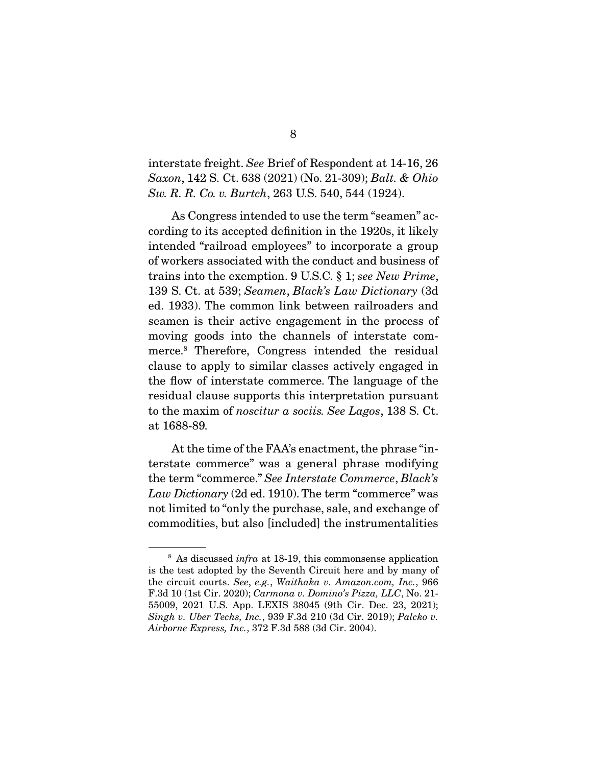interstate freight. See Brief of Respondent at 14-16, 26 Saxon, 142 S. Ct. 638 (2021) (No. 21-309); Balt. & Ohio Sw. R. R. Co. v. Burtch, 263 U.S. 540, 544 (1924).

 As Congress intended to use the term "seamen" according to its accepted definition in the 1920s, it likely intended "railroad employees" to incorporate a group of workers associated with the conduct and business of trains into the exemption. 9 U.S.C. § 1; see New Prime, 139 S. Ct. at 539; Seamen, Black's Law Dictionary (3d ed. 1933). The common link between railroaders and seamen is their active engagement in the process of moving goods into the channels of interstate commerce.8 Therefore, Congress intended the residual clause to apply to similar classes actively engaged in the flow of interstate commerce. The language of the residual clause supports this interpretation pursuant to the maxim of noscitur a sociis. See Lagos, 138 S. Ct. at 1688-89.

 At the time of the FAA's enactment, the phrase "interstate commerce" was a general phrase modifying the term "commerce." See Interstate Commerce, Black's Law Dictionary (2d ed. 1910). The term "commerce" was not limited to "only the purchase, sale, and exchange of commodities, but also [included] the instrumentalities

 $8$  As discussed *infra* at 18-19, this commonsense application is the test adopted by the Seventh Circuit here and by many of the circuit courts. See, e.g., Waithaka v. Amazon.com, Inc., 966 F.3d 10 (1st Cir. 2020); Carmona v. Domino's Pizza, LLC, No. 21- 55009, 2021 U.S. App. LEXIS 38045 (9th Cir. Dec. 23, 2021); Singh v. Uber Techs, Inc., 939 F.3d 210 (3d Cir. 2019); Palcko v. Airborne Express, Inc., 372 F.3d 588 (3d Cir. 2004).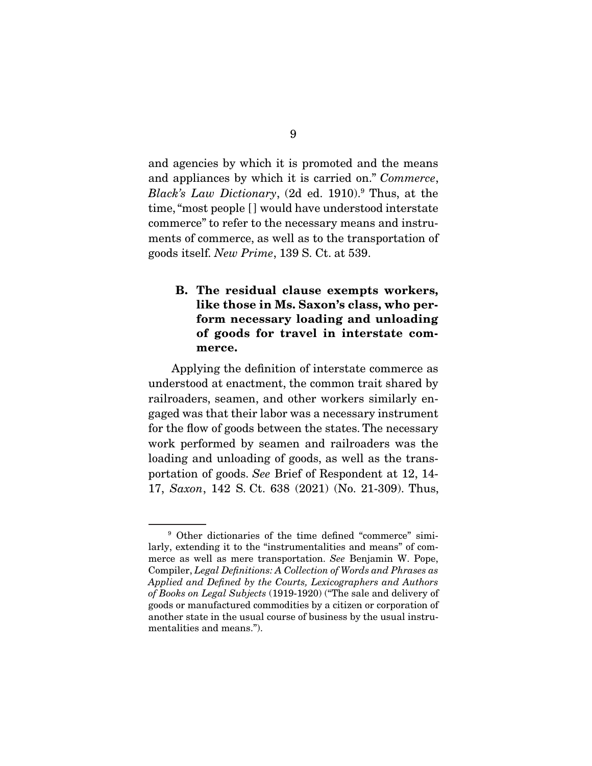and agencies by which it is promoted and the means and appliances by which it is carried on." Commerce, Black's Law Dictionary,  $(2d \text{ ed. } 1910)^9$  Thus, at the time, "most people [] would have understood interstate commerce" to refer to the necessary means and instruments of commerce, as well as to the transportation of goods itself. New Prime, 139 S. Ct. at 539.

### **B. The residual clause exempts workers, like those in Ms. Saxon's class, who perform necessary loading and unloading of goods for travel in interstate commerce.**

 Applying the definition of interstate commerce as understood at enactment, the common trait shared by railroaders, seamen, and other workers similarly engaged was that their labor was a necessary instrument for the flow of goods between the states. The necessary work performed by seamen and railroaders was the loading and unloading of goods, as well as the transportation of goods. See Brief of Respondent at 12, 14- 17, Saxon, 142 S. Ct. 638 (2021) (No. 21-309). Thus,

<sup>9</sup> Other dictionaries of the time defined "commerce" similarly, extending it to the "instrumentalities and means" of commerce as well as mere transportation. See Benjamin W. Pope, Compiler, Legal Definitions: A Collection of Words and Phrases as Applied and Defined by the Courts, Lexicographers and Authors of Books on Legal Subjects (1919-1920) ("The sale and delivery of goods or manufactured commodities by a citizen or corporation of another state in the usual course of business by the usual instrumentalities and means.").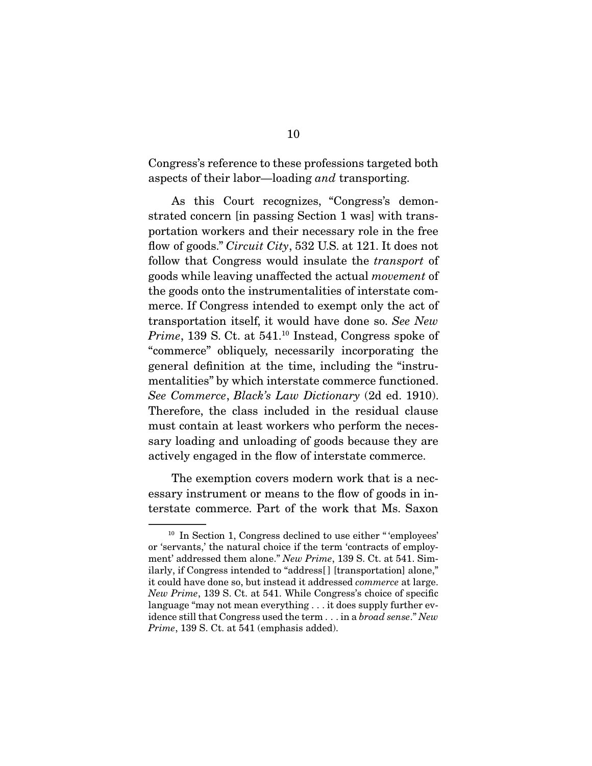Congress's reference to these professions targeted both aspects of their labor—loading and transporting.

 As this Court recognizes, "Congress's demonstrated concern [in passing Section 1 was] with transportation workers and their necessary role in the free flow of goods." *Circuit City*, 532 U.S. at 121. It does not follow that Congress would insulate the transport of goods while leaving unaffected the actual movement of the goods onto the instrumentalities of interstate commerce. If Congress intended to exempt only the act of transportation itself, it would have done so. See New Prime, 139 S. Ct. at 541.<sup>10</sup> Instead, Congress spoke of "commerce" obliquely, necessarily incorporating the general definition at the time, including the "instrumentalities" by which interstate commerce functioned. See Commerce, Black's Law Dictionary (2d ed. 1910). Therefore, the class included in the residual clause must contain at least workers who perform the necessary loading and unloading of goods because they are actively engaged in the flow of interstate commerce.

 The exemption covers modern work that is a necessary instrument or means to the flow of goods in interstate commerce. Part of the work that Ms. Saxon

 $10$  In Section 1, Congress declined to use either "'employees' or 'servants,' the natural choice if the term 'contracts of employment' addressed them alone." New Prime, 139 S. Ct. at 541. Similarly, if Congress intended to "address[ ] [transportation] alone," it could have done so, but instead it addressed commerce at large. New Prime, 139 S. Ct. at 541. While Congress's choice of specific language "may not mean everything . . . it does supply further evidence still that Congress used the term . . . in a broad sense." New Prime, 139 S. Ct. at 541 (emphasis added).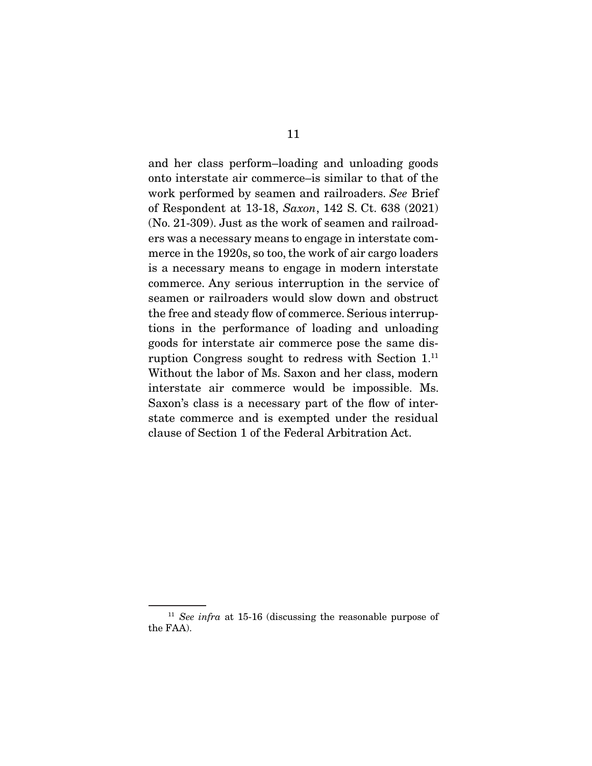and her class perform–loading and unloading goods onto interstate air commerce–is similar to that of the work performed by seamen and railroaders. See Brief of Respondent at 13-18, Saxon, 142 S. Ct. 638 (2021) (No. 21-309). Just as the work of seamen and railroaders was a necessary means to engage in interstate commerce in the 1920s, so too, the work of air cargo loaders is a necessary means to engage in modern interstate commerce. Any serious interruption in the service of seamen or railroaders would slow down and obstruct the free and steady flow of commerce. Serious interruptions in the performance of loading and unloading goods for interstate air commerce pose the same disruption Congress sought to redress with Section 1.11 Without the labor of Ms. Saxon and her class, modern interstate air commerce would be impossible. Ms. Saxon's class is a necessary part of the flow of interstate commerce and is exempted under the residual clause of Section 1 of the Federal Arbitration Act.

 $11$  See infra at 15-16 (discussing the reasonable purpose of the FAA).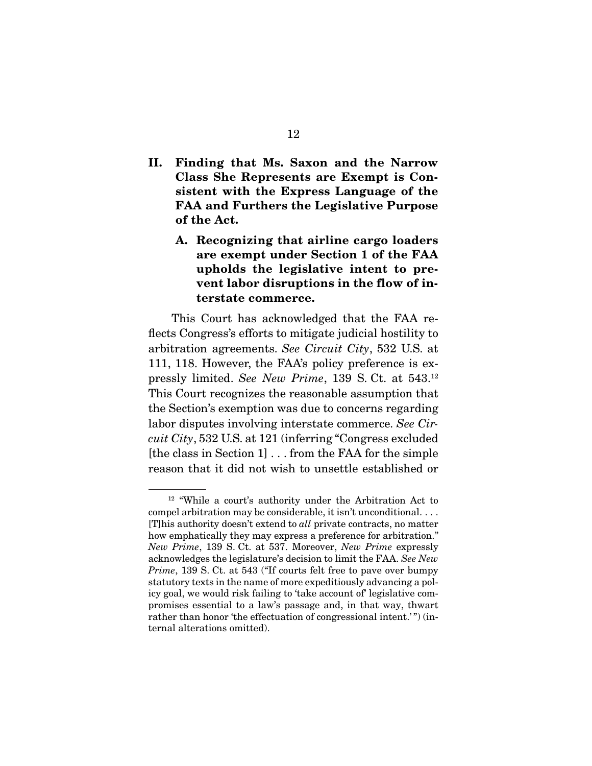- **II. Finding that Ms. Saxon and the Narrow Class She Represents are Exempt is Consistent with the Express Language of the FAA and Furthers the Legislative Purpose of the Act.** 
	- **A. Recognizing that airline cargo loaders are exempt under Section 1 of the FAA upholds the legislative intent to prevent labor disruptions in the flow of interstate commerce.**

 This Court has acknowledged that the FAA reflects Congress's efforts to mitigate judicial hostility to arbitration agreements. See Circuit City, 532 U.S. at 111, 118. However, the FAA's policy preference is expressly limited. See New Prime, 139 S. Ct. at 543.12 This Court recognizes the reasonable assumption that the Section's exemption was due to concerns regarding labor disputes involving interstate commerce. See Circuit City, 532 U.S. at 121 (inferring "Congress excluded [the class in Section 1] . . . from the FAA for the simple reason that it did not wish to unsettle established or

<sup>12</sup> "While a court's authority under the Arbitration Act to compel arbitration may be considerable, it isn't unconditional. . . . [T]his authority doesn't extend to all private contracts, no matter how emphatically they may express a preference for arbitration." New Prime, 139 S. Ct. at 537. Moreover, New Prime expressly acknowledges the legislature's decision to limit the FAA. See New Prime, 139 S. Ct. at 543 ("If courts felt free to pave over bumpy statutory texts in the name of more expeditiously advancing a policy goal, we would risk failing to 'take account of' legislative compromises essential to a law's passage and, in that way, thwart rather than honor 'the effectuation of congressional intent.'") (internal alterations omitted).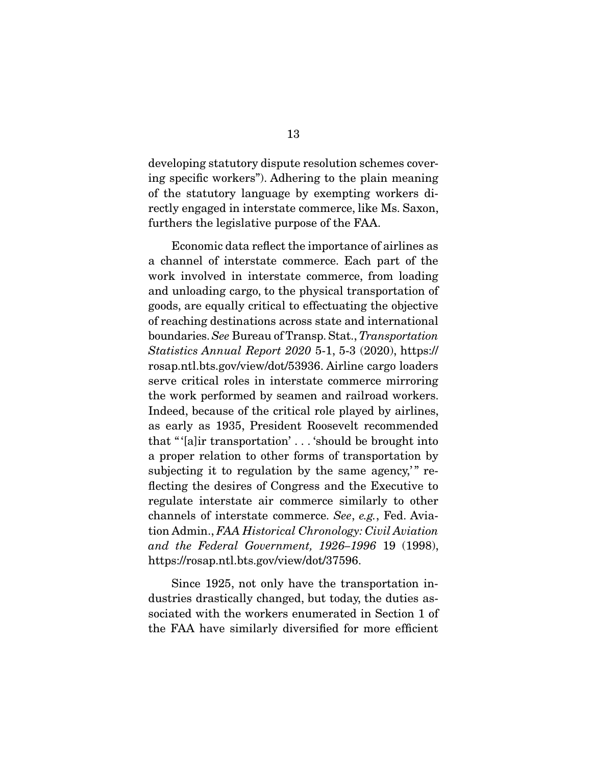developing statutory dispute resolution schemes covering specific workers"). Adhering to the plain meaning of the statutory language by exempting workers directly engaged in interstate commerce, like Ms. Saxon, furthers the legislative purpose of the FAA.

 Economic data reflect the importance of airlines as a channel of interstate commerce. Each part of the work involved in interstate commerce, from loading and unloading cargo, to the physical transportation of goods, are equally critical to effectuating the objective of reaching destinations across state and international boundaries. See Bureau of Transp. Stat., Transportation Statistics Annual Report 2020 5-1, 5-3 (2020), https:// rosap.ntl.bts.gov/view/dot/53936. Airline cargo loaders serve critical roles in interstate commerce mirroring the work performed by seamen and railroad workers. Indeed, because of the critical role played by airlines, as early as 1935, President Roosevelt recommended that " '[a]ir transportation' . . . 'should be brought into a proper relation to other forms of transportation by subjecting it to regulation by the same agency," reflecting the desires of Congress and the Executive to regulate interstate air commerce similarly to other channels of interstate commerce. See, e.g., Fed. Aviation Admin., FAA Historical Chronology: Civil Aviation and the Federal Government, 1926–1996 19 (1998), https://rosap.ntl.bts.gov/view/dot/37596.

 Since 1925, not only have the transportation industries drastically changed, but today, the duties associated with the workers enumerated in Section 1 of the FAA have similarly diversified for more efficient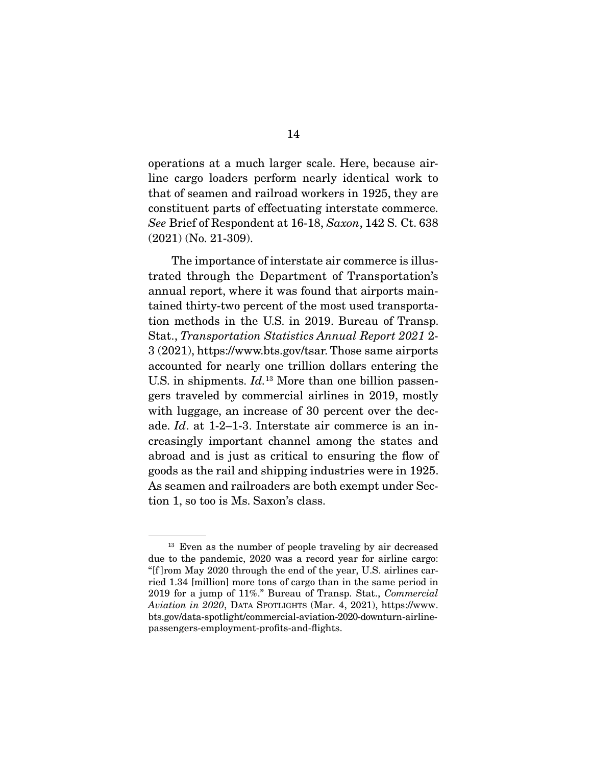operations at a much larger scale. Here, because airline cargo loaders perform nearly identical work to that of seamen and railroad workers in 1925, they are constituent parts of effectuating interstate commerce. See Brief of Respondent at 16-18, Saxon, 142 S. Ct. 638 (2021) (No. 21-309).

 The importance of interstate air commerce is illustrated through the Department of Transportation's annual report, where it was found that airports maintained thirty-two percent of the most used transportation methods in the U.S. in 2019. Bureau of Transp. Stat., Transportation Statistics Annual Report 2021 2- 3 (2021), https://www.bts.gov/tsar. Those same airports accounted for nearly one trillion dollars entering the U.S. in shipments.  $Id.$ <sup>13</sup> More than one billion passengers traveled by commercial airlines in 2019, mostly with luggage, an increase of 30 percent over the decade. Id. at 1-2–1-3. Interstate air commerce is an increasingly important channel among the states and abroad and is just as critical to ensuring the flow of goods as the rail and shipping industries were in 1925. As seamen and railroaders are both exempt under Section 1, so too is Ms. Saxon's class.

<sup>&</sup>lt;sup>13</sup> Even as the number of people traveling by air decreased due to the pandemic, 2020 was a record year for airline cargo: "[f ]rom May 2020 through the end of the year, U.S. airlines carried 1.34 [million] more tons of cargo than in the same period in 2019 for a jump of 11%." Bureau of Transp. Stat., Commercial Aviation in 2020, DATA SPOTLIGHTS (Mar. 4, 2021), https://www. bts.gov/data-spotlight/commercial-aviation-2020-downturn-airlinepassengers-employment-profits-and-flights.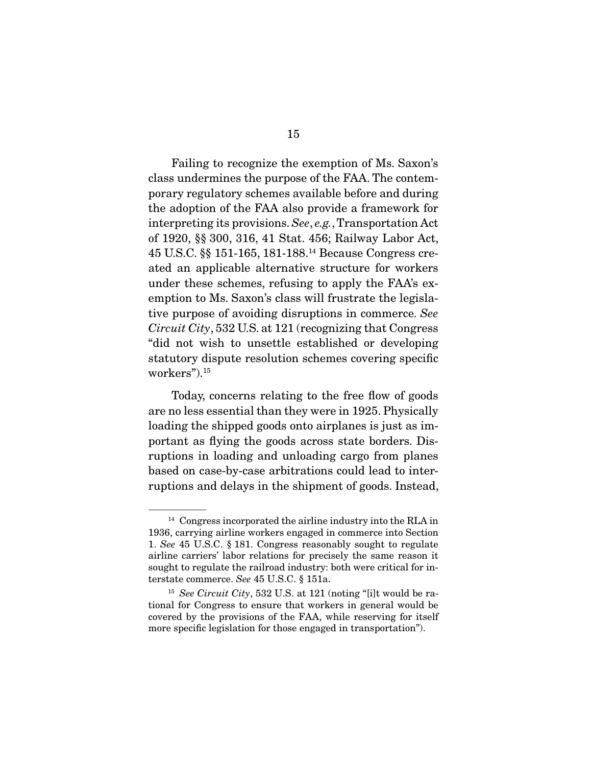Failing to recognize the exemption of Ms. Saxon's class undermines the purpose of the FAA. The contemporary regulatory schemes available before and during the adoption of the FAA also provide a framework for interpreting its provisions. See, e.g., Transportation Act of 1920, §§ 300, 316, 41 Stat. 456; Railway Labor Act, 45 U.S.C. §§ 151-165, 181-188.14 Because Congress created an applicable alternative structure for workers under these schemes, refusing to apply the FAA's exemption to Ms. Saxon's class will frustrate the legislative purpose of avoiding disruptions in commerce. See Circuit City, 532 U.S. at 121 (recognizing that Congress "did not wish to unsettle established or developing statutory dispute resolution schemes covering specific workers").15

 Today, concerns relating to the free flow of goods are no less essential than they were in 1925. Physically loading the shipped goods onto airplanes is just as important as flying the goods across state borders. Disruptions in loading and unloading cargo from planes based on case-by-case arbitrations could lead to interruptions and delays in the shipment of goods. Instead,

<sup>&</sup>lt;sup>14</sup> Congress incorporated the airline industry into the RLA in 1936, carrying airline workers engaged in commerce into Section 1. See 45 U.S.C. § 181. Congress reasonably sought to regulate airline carriers' labor relations for precisely the same reason it sought to regulate the railroad industry: both were critical for interstate commerce. See 45 U.S.C. § 151a.

<sup>&</sup>lt;sup>15</sup> See Circuit City, 532 U.S. at 121 (noting "[i]t would be rational for Congress to ensure that workers in general would be covered by the provisions of the FAA, while reserving for itself more specific legislation for those engaged in transportation").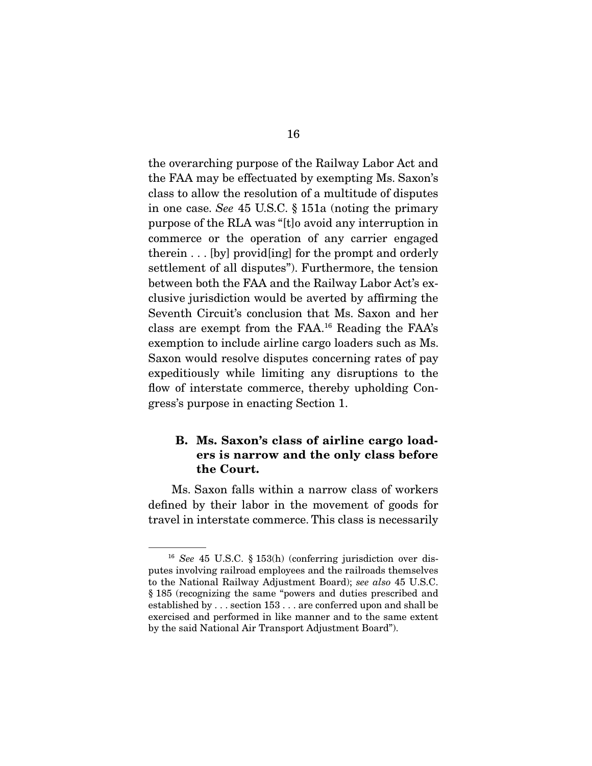the overarching purpose of the Railway Labor Act and the FAA may be effectuated by exempting Ms. Saxon's class to allow the resolution of a multitude of disputes in one case. See 45 U.S.C. § 151a (noting the primary purpose of the RLA was "[t]o avoid any interruption in commerce or the operation of any carrier engaged therein . . . [by] provid[ing] for the prompt and orderly settlement of all disputes"). Furthermore, the tension between both the FAA and the Railway Labor Act's exclusive jurisdiction would be averted by affirming the Seventh Circuit's conclusion that Ms. Saxon and her class are exempt from the FAA.16 Reading the FAA's exemption to include airline cargo loaders such as Ms. Saxon would resolve disputes concerning rates of pay expeditiously while limiting any disruptions to the flow of interstate commerce, thereby upholding Congress's purpose in enacting Section 1.

#### **B. Ms. Saxon's class of airline cargo loaders is narrow and the only class before the Court.**

 Ms. Saxon falls within a narrow class of workers defined by their labor in the movement of goods for travel in interstate commerce. This class is necessarily

 $16$  See 45 U.S.C. § 153(h) (conferring jurisdiction over disputes involving railroad employees and the railroads themselves to the National Railway Adjustment Board); see also 45 U.S.C. § 185 (recognizing the same "powers and duties prescribed and established by . . . section 153 . . . are conferred upon and shall be exercised and performed in like manner and to the same extent by the said National Air Transport Adjustment Board").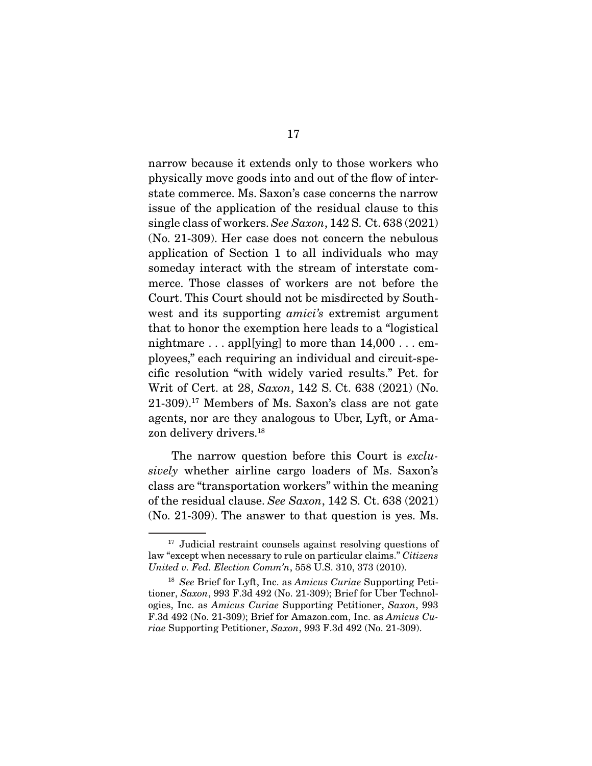narrow because it extends only to those workers who physically move goods into and out of the flow of interstate commerce. Ms. Saxon's case concerns the narrow issue of the application of the residual clause to this single class of workers. See Saxon, 142 S. Ct. 638 (2021) (No. 21-309). Her case does not concern the nebulous application of Section 1 to all individuals who may someday interact with the stream of interstate commerce. Those classes of workers are not before the Court. This Court should not be misdirected by Southwest and its supporting *amici's* extremist argument that to honor the exemption here leads to a "logistical nightmare  $\dots$  appl[ying] to more than  $14,000\dots$  employees," each requiring an individual and circuit-specific resolution "with widely varied results." Pet. for Writ of Cert. at 28, Saxon, 142 S. Ct. 638 (2021) (No. 21-309).17 Members of Ms. Saxon's class are not gate agents, nor are they analogous to Uber, Lyft, or Amazon delivery drivers.<sup>18</sup>

The narrow question before this Court is exclusively whether airline cargo loaders of Ms. Saxon's class are "transportation workers" within the meaning of the residual clause. See Saxon, 142 S. Ct. 638 (2021) (No. 21-309). The answer to that question is yes. Ms.

<sup>&</sup>lt;sup>17</sup> Judicial restraint counsels against resolving questions of law "except when necessary to rule on particular claims." Citizens United v. Fed. Election Comm'n, 558 U.S. 310, 373 (2010).

 $18$  See Brief for Lyft, Inc. as Amicus Curiae Supporting Petitioner, Saxon, 993 F.3d 492 (No. 21-309); Brief for Uber Technologies, Inc. as Amicus Curiae Supporting Petitioner, Saxon, 993 F.3d 492 (No. 21-309); Brief for Amazon.com, Inc. as Amicus Curiae Supporting Petitioner, Saxon, 993 F.3d 492 (No. 21-309).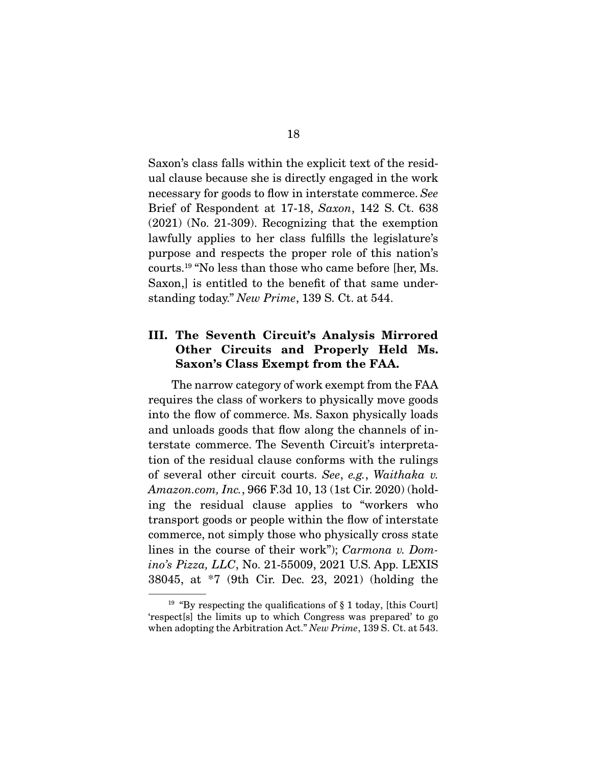Saxon's class falls within the explicit text of the residual clause because she is directly engaged in the work necessary for goods to flow in interstate commerce. See Brief of Respondent at 17-18, Saxon, 142 S. Ct. 638 (2021) (No. 21-309). Recognizing that the exemption lawfully applies to her class fulfills the legislature's purpose and respects the proper role of this nation's courts.19 "No less than those who came before [her, Ms. Saxon,] is entitled to the benefit of that same understanding today." New Prime, 139 S. Ct. at 544.

#### **III. The Seventh Circuit's Analysis Mirrored Other Circuits and Properly Held Ms. Saxon's Class Exempt from the FAA.**

 The narrow category of work exempt from the FAA requires the class of workers to physically move goods into the flow of commerce. Ms. Saxon physically loads and unloads goods that flow along the channels of interstate commerce. The Seventh Circuit's interpretation of the residual clause conforms with the rulings of several other circuit courts. See, e.g., Waithaka v. Amazon.com, Inc., 966 F.3d 10, 13 (1st Cir. 2020) (holding the residual clause applies to "workers who transport goods or people within the flow of interstate commerce, not simply those who physically cross state lines in the course of their work"); Carmona v. Domino's Pizza, LLC, No. 21-55009, 2021 U.S. App. LEXIS 38045, at \*7 (9th Cir. Dec. 23, 2021) (holding the

<sup>&</sup>lt;sup>19</sup> "By respecting the qualifications of  $\S 1$  today, [this Court] 'respect[s] the limits up to which Congress was prepared' to go when adopting the Arbitration Act." New Prime, 139 S. Ct. at 543.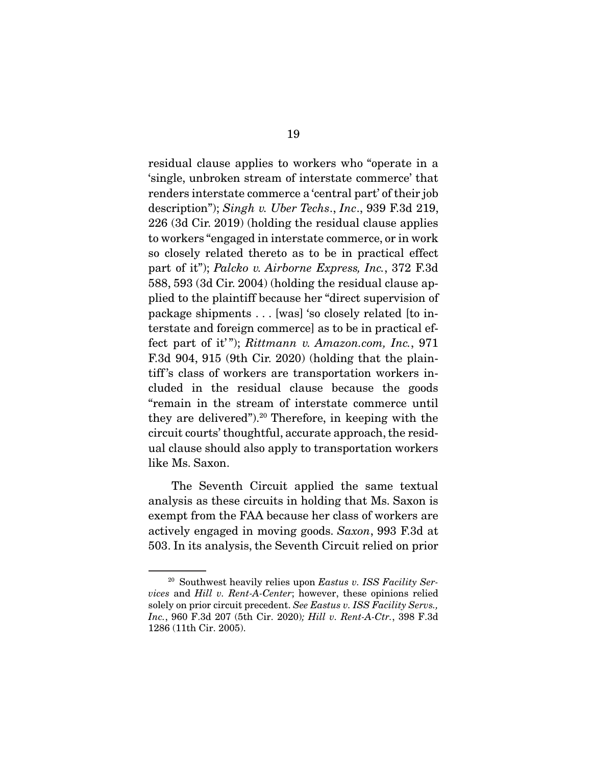residual clause applies to workers who "operate in a 'single, unbroken stream of interstate commerce' that renders interstate commerce a 'central part' of their job description"); Singh v. Uber Techs., Inc., 939 F.3d 219, 226 (3d Cir. 2019) (holding the residual clause applies to workers "engaged in interstate commerce, or in work so closely related thereto as to be in practical effect part of it"); Palcko v. Airborne Express, Inc., 372 F.3d 588, 593 (3d Cir. 2004) (holding the residual clause applied to the plaintiff because her "direct supervision of package shipments . . . [was] 'so closely related [to interstate and foreign commerce] as to be in practical effect part of it"); Rittmann v. Amazon.com, Inc., 971 F.3d 904, 915 (9th Cir. 2020) (holding that the plaintiff 's class of workers are transportation workers included in the residual clause because the goods "remain in the stream of interstate commerce until they are delivered").20 Therefore, in keeping with the circuit courts' thoughtful, accurate approach, the residual clause should also apply to transportation workers like Ms. Saxon.

 The Seventh Circuit applied the same textual analysis as these circuits in holding that Ms. Saxon is exempt from the FAA because her class of workers are actively engaged in moving goods. Saxon, 993 F.3d at 503. In its analysis, the Seventh Circuit relied on prior

 $20$  Southwest heavily relies upon Eastus v. ISS Facility Services and Hill v. Rent-A-Center; however, these opinions relied solely on prior circuit precedent. See Eastus v. ISS Facility Servs., Inc., 960 F.3d 207 (5th Cir. 2020); Hill v. Rent-A-Ctr., 398 F.3d 1286 (11th Cir. 2005).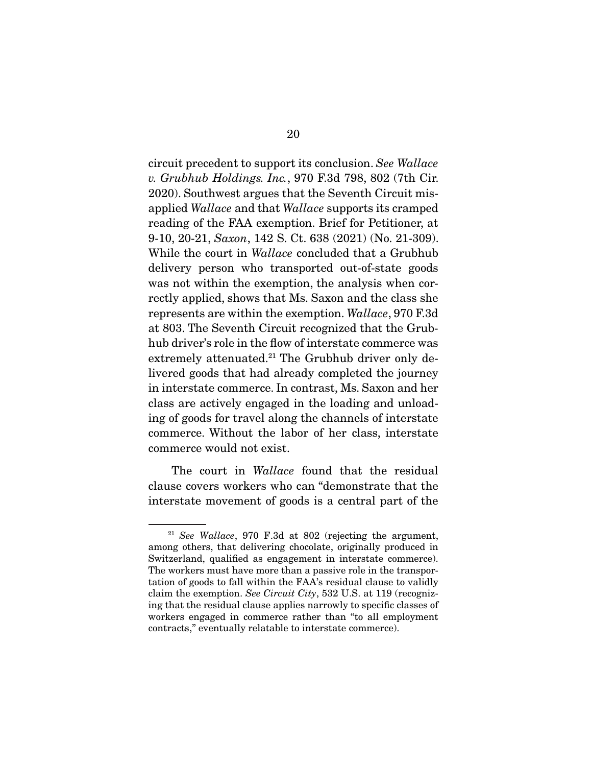circuit precedent to support its conclusion. See Wallace v. Grubhub Holdings. Inc., 970 F.3d 798, 802 (7th Cir. 2020). Southwest argues that the Seventh Circuit misapplied Wallace and that Wallace supports its cramped reading of the FAA exemption. Brief for Petitioner, at 9-10, 20-21, Saxon, 142 S. Ct. 638 (2021) (No. 21-309). While the court in *Wallace* concluded that a Grubhub delivery person who transported out-of-state goods was not within the exemption, the analysis when correctly applied, shows that Ms. Saxon and the class she represents are within the exemption. Wallace, 970 F.3d at 803. The Seventh Circuit recognized that the Grubhub driver's role in the flow of interstate commerce was extremely attenuated.<sup>21</sup> The Grubhub driver only delivered goods that had already completed the journey in interstate commerce. In contrast, Ms. Saxon and her class are actively engaged in the loading and unloading of goods for travel along the channels of interstate commerce. Without the labor of her class, interstate commerce would not exist.

The court in *Wallace* found that the residual clause covers workers who can "demonstrate that the interstate movement of goods is a central part of the

 $21$  See Wallace, 970 F.3d at 802 (rejecting the argument, among others, that delivering chocolate, originally produced in Switzerland, qualified as engagement in interstate commerce). The workers must have more than a passive role in the transportation of goods to fall within the FAA's residual clause to validly claim the exemption. See Circuit City, 532 U.S. at 119 (recognizing that the residual clause applies narrowly to specific classes of workers engaged in commerce rather than "to all employment contracts," eventually relatable to interstate commerce).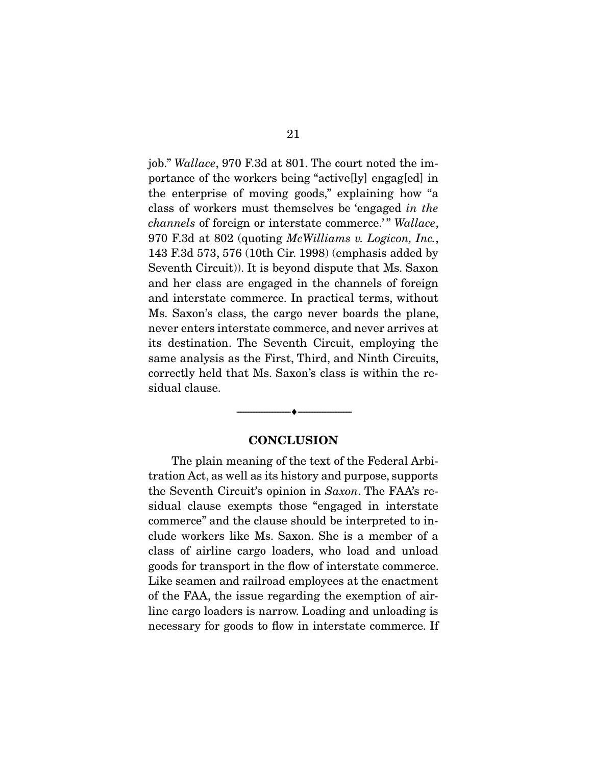job." Wallace, 970 F.3d at 801. The court noted the importance of the workers being "active[ly] engag[ed] in the enterprise of moving goods," explaining how "a class of workers must themselves be 'engaged in the channels of foreign or interstate commerce.'" Wallace, 970 F.3d at 802 (quoting McWilliams v. Logicon, Inc., 143 F.3d 573, 576 (10th Cir. 1998) (emphasis added by Seventh Circuit)). It is beyond dispute that Ms. Saxon and her class are engaged in the channels of foreign and interstate commerce. In practical terms, without Ms. Saxon's class, the cargo never boards the plane, never enters interstate commerce, and never arrives at its destination. The Seventh Circuit, employing the same analysis as the First, Third, and Ninth Circuits, correctly held that Ms. Saxon's class is within the residual clause.

#### **CONCLUSION**

--------------------------------- ♦ ---------------------------------

 The plain meaning of the text of the Federal Arbitration Act, as well as its history and purpose, supports the Seventh Circuit's opinion in Saxon. The FAA's residual clause exempts those "engaged in interstate commerce" and the clause should be interpreted to include workers like Ms. Saxon. She is a member of a class of airline cargo loaders, who load and unload goods for transport in the flow of interstate commerce. Like seamen and railroad employees at the enactment of the FAA, the issue regarding the exemption of airline cargo loaders is narrow. Loading and unloading is necessary for goods to flow in interstate commerce. If